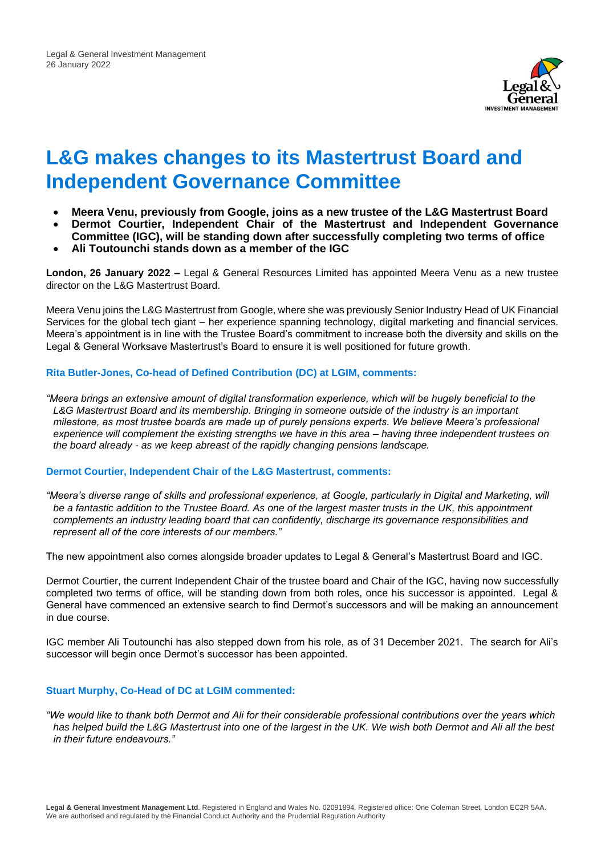

# **L&G makes changes to its Mastertrust Board and Independent Governance Committee**

- **Meera Venu, previously from Google, joins as a new trustee of the L&G Mastertrust Board**
- **Dermot Courtier, Independent Chair of the Mastertrust and Independent Governance Committee (IGC), will be standing down after successfully completing two terms of office**
- **Ali Toutounchi stands down as a member of the IGC**

**London, 26 January 2022 –** Legal & General Resources Limited has appointed Meera Venu as a new trustee director on the L&G Mastertrust Board.

Meera Venu joins the L&G Mastertrust from Google, where she was previously Senior Industry Head of UK Financial Services for the global tech giant – her experience spanning technology, digital marketing and financial services. Meera's appointment is in line with the Trustee Board's commitment to increase both the diversity and skills on the Legal & General Worksave Mastertrust's Board to ensure it is well positioned for future growth.

## **Rita Butler-Jones, Co-head of Defined Contribution (DC) at LGIM, comments:**

*"Meera brings an extensive amount of digital transformation experience, which will be hugely beneficial to the L&G Mastertrust Board and its membership. Bringing in someone outside of the industry is an important milestone, as most trustee boards are made up of purely pensions experts. We believe Meera's professional experience will complement the existing strengths we have in this area – having three independent trustees on the board already - as we keep abreast of the rapidly changing pensions landscape.*

#### **Dermot Courtier, Independent Chair of the L&G Mastertrust, comments:**

*"Meera's diverse range of skills and professional experience, at Google, particularly in Digital and Marketing, will*  be a fantastic addition to the Trustee Board. As one of the largest master trusts in the UK, this appointment *complements an industry leading board that can confidently, discharge its governance responsibilities and represent all of the core interests of our members."*

The new appointment also comes alongside broader updates to Legal & General's Mastertrust Board and IGC.

Dermot Courtier, the current Independent Chair of the trustee board and Chair of the IGC, having now successfully completed two terms of office, will be standing down from both roles, once his successor is appointed. Legal & General have commenced an extensive search to find Dermot's successors and will be making an announcement in due course.

IGC member Ali Toutounchi has also stepped down from his role, as of 31 December 2021. The search for Ali's successor will begin once Dermot's successor has been appointed.

#### **Stuart Murphy, Co-Head of DC at LGIM commented:**

*"We would like to thank both Dermot and Ali for their considerable professional contributions over the years which has helped build the L&G Mastertrust into one of the largest in the UK. We wish both Dermot and Ali all the best in their future endeavours."*